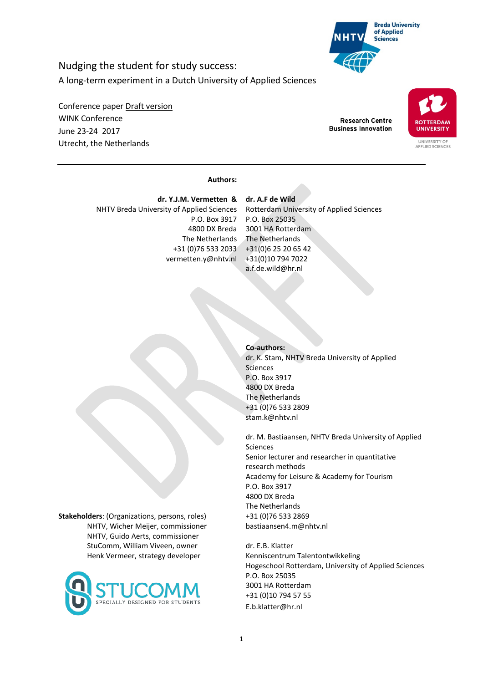

Nudging the student for study success: A long-term experiment in a Dutch University of Applied Sciences

Conference paper Draft version WINK Conference June 23-24 2017 Utrecht, the Netherlands

**Research Centre Business Innovation** 



**Authors:**

**dr. Y.J.M. Vermetten & dr. A.F de Wild** NHTV Breda University of Applied Sciences P.O. Box 3917 4800 DX Breda The Netherlands +31 (0)76 533 2033 vermetten.y@nhtv.nl

Rotterdam University of Applied Sciences P.O. Box 25035 3001 HA Rotterdam The Netherlands +31(0)6 25 20 65 42 +31(0)10 794 7022 a.f.de.wild@hr.nl

**Co-authors:** dr. K. Stam, NHTV Breda University of Applied Sciences P.O. Box 3917 4800 DX Breda The Netherlands +31 (0)76 533 2809 [stam.k@nhtv.nl](mailto:stam.k@nhtv.nl)

dr. M. Bastiaansen, NHTV Breda University of Applied Sciences Senior lecturer and researcher in quantitative research methods Academy for Leisure & Academy for Tourism P.O. Box 3917 4800 DX Breda The Netherlands +31 (0)76 533 2869 bastiaansen4.m@nhtv.nl

dr. E.B. Klatter Kenniscentrum Talentontwikkeling Hogeschool Rotterdam, University of Applied Sciences P.O. Box 25035 3001 HA Rotterdam +31 (0)10 794 57 55 [E.b.klatter@hr.nl](mailto:E.b.klatter@hr.nl)

**Stakeholders**: (Organizations, persons, roles) NHTV, Wicher Meijer, commissioner NHTV, Guido Aerts, commissioner StuComm, William Viveen, owner Henk Vermeer, strategy developer

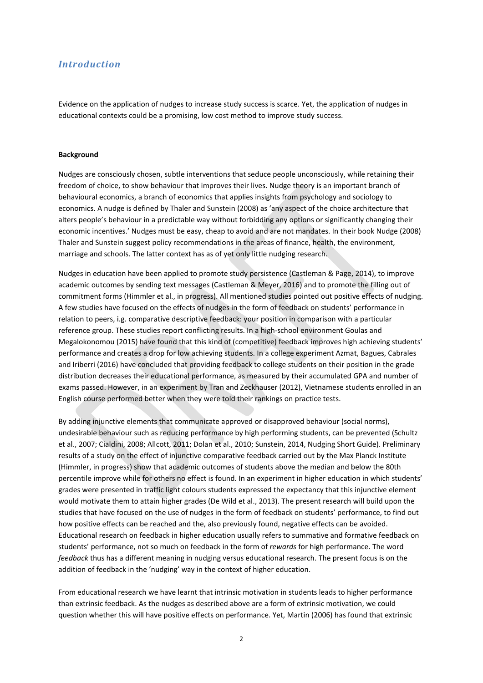## *Introduction*

Evidence on the application of nudges to increase study success is scarce. Yet, the application of nudges in educational contexts could be a promising, low cost method to improve study success.

## **Background**

Nudges are consciously chosen, subtle interventions that seduce people unconsciously, while retaining their freedom of choice, to show behaviour that improves their lives. Nudge theory is an important branch of behavioural economics, a branch of economics that applies insights from psychology and sociology to economics. A nudge is defined by Thaler and Sunstein (2008) as 'any aspect of the choice architecture that alters people's behaviour in a predictable way without forbidding any options or significantly changing their economic incentives.' Nudges must be easy, cheap to avoid and are not mandates. In their book Nudge (2008) Thaler and Sunstein suggest policy recommendations in the areas of finance, health, the environment, marriage and schools. The latter context has as of yet only little nudging research.

Nudges in education have been applied to promote study persistence (Castleman & Page, 2014), to improve academic outcomes by sending text messages (Castleman & Meyer, 2016) and to promote the filling out of commitment forms (Himmler et al., in progress). All mentioned studies pointed out positive effects of nudging. A few studies have focused on the effects of nudges in the form of feedback on students' performance in relation to peers, i.g. comparative descriptive feedback: your position in comparison with a particular reference group. These studies report conflicting results. In a high-school environment Goulas and Megalokonomou (2015) have found that this kind of (competitive) feedback improves high achieving students' performance and creates a drop for low achieving students. In a college experiment Azmat, Bagues, Cabrales and Iriberri (2016) have concluded that providing feedback to college students on their position in the grade distribution decreases their educational performance, as measured by their accumulated GPA and number of exams passed. However, in an experiment by Tran and Zeckhauser (2012), Vietnamese students enrolled in an English course performed better when they were told their rankings on practice tests.

By adding injunctive elements that communicate approved or disapproved behaviour (social norms), undesirable behaviour such as reducing performance by high performing students, can be prevented (Schultz et al., 2007; Cialdini, 2008; Allcott, 2011; Dolan et al., 2010; Sunstein, 2014, Nudging Short Guide). Preliminary results of a study on the effect of injunctive comparative feedback carried out by the Max Planck Institute (Himmler, in progress) show that academic outcomes of students above the median and below the 80th percentile improve while for others no effect is found. In an experiment in higher education in which students' grades were presented in traffic light colours students expressed the expectancy that this injunctive element would motivate them to attain higher grades (De Wild et al., 2013). The present research will build upon the studies that have focused on the use of nudges in the form of feedback on students' performance, to find out how positive effects can be reached and the, also previously found, negative effects can be avoided. Educational research on feedback in higher education usually refers to summative and formative feedback on students' performance, not so much on feedback in the form of *rewards* for high performance. The word *feedback* thus has a different meaning in nudging versus educational research. The present focus is on the addition of feedback in the 'nudging' way in the context of higher education.

From educational research we have learnt that intrinsic motivation in students leads to higher performance than extrinsic feedback. As the nudges as described above are a form of extrinsic motivation, we could question whether this will have positive effects on performance. Yet, Martin (2006) has found that extrinsic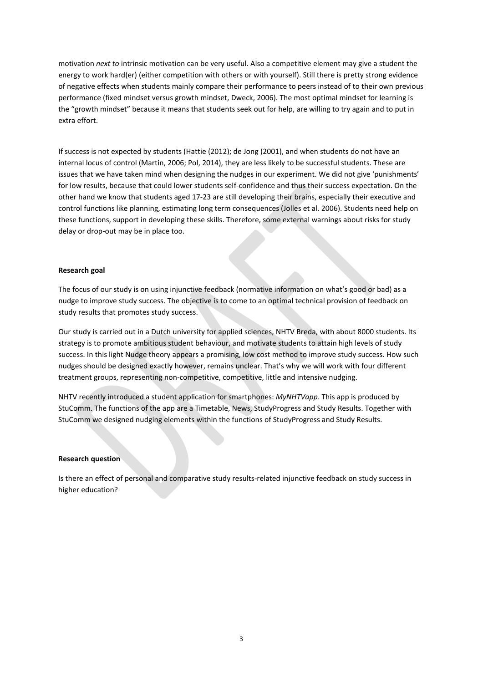motivation *next to* intrinsic motivation can be very useful. Also a competitive element may give a student the energy to work hard(er) (either competition with others or with yourself). Still there is pretty strong evidence of negative effects when students mainly compare their performance to peers instead of to their own previous performance (fixed mindset versus growth mindset, Dweck, 2006). The most optimal mindset for learning is the "growth mindset" because it means that students seek out for help, are willing to try again and to put in extra effort.

If success is not expected by students (Hattie (2012); de Jong (2001), and when students do not have an internal locus of control (Martin, 2006; Pol, 2014), they are less likely to be successful students. These are issues that we have taken mind when designing the nudges in our experiment. We did not give 'punishments' for low results, because that could lower students self-confidence and thus their success expectation. On the other hand we know that students aged 17-23 are still developing their brains, especially their executive and control functions like planning, estimating long term consequences (Jolles et al. 2006). Students need help on these functions, support in developing these skills. Therefore, some external warnings about risks for study delay or drop-out may be in place too.

#### **Research goal**

The focus of our study is on using injunctive feedback (normative information on what's good or bad) as a nudge to improve study success. The objective is to come to an optimal technical provision of feedback on study results that promotes study success.

Our study is carried out in a Dutch university for applied sciences, NHTV Breda, with about 8000 students. Its strategy is to promote ambitious student behaviour, and motivate students to attain high levels of study success. In this light Nudge theory appears a promising, low cost method to improve study success. How such nudges should be designed exactly however, remains unclear. That's why we will work with four different treatment groups, representing non-competitive, competitive, little and intensive nudging.

NHTV recently introduced a student application for smartphones: *MyNHTVapp*. This app is produced by StuComm. The functions of the app are a Timetable, News, StudyProgress and Study Results. Together with StuComm we designed nudging elements within the functions of StudyProgress and Study Results.

#### **Research question**

Is there an effect of personal and comparative study results-related injunctive feedback on study success in higher education?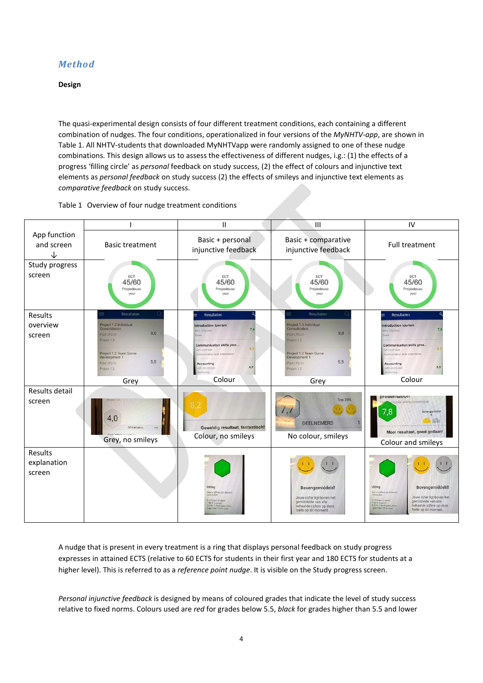# *Method*

## **Design**

The quasi-experimental design consists of four different treatment conditions, each containing a different combination of nudges. The four conditions, operationalized in four versions of the *MyNHTV-app*, are shown in Table 1. All NHTV-students that downloaded MyNHTVapp were randomly assigned to one of these nudge combinations. This design allows us to assess the effectiveness of different nudges, i.g.: (1) the effects of a progress 'filling circle' as *personal* feedback on study success, (2) the effect of colours and injunctive text elements as *personal feedback* on study success (2) the effects of smileys and injunctive text elements as *comparative feedback* on study success.

## Table 1 Overview of four nudge treatment conditions

|                                  |                                                                                                                                                                                | Ш                                                                                                                                                                                                                  | III                                                                                                                                                                            | IV                                                                                                                                                                                                                                                                                 |
|----------------------------------|--------------------------------------------------------------------------------------------------------------------------------------------------------------------------------|--------------------------------------------------------------------------------------------------------------------------------------------------------------------------------------------------------------------|--------------------------------------------------------------------------------------------------------------------------------------------------------------------------------|------------------------------------------------------------------------------------------------------------------------------------------------------------------------------------------------------------------------------------------------------------------------------------|
| App function<br>and screen<br>↓  | <b>Basic treatment</b>                                                                                                                                                         | Basic + personal<br>injunctive feedback                                                                                                                                                                            | Basic + comparative<br>injunctive feedback                                                                                                                                     | <b>Full treatment</b>                                                                                                                                                                                                                                                              |
| Study progress<br>screen         | ECT<br>45/60<br>Propedeuse<br>vear                                                                                                                                             | ECT<br>45/60<br>Propedeuse<br>year                                                                                                                                                                                 | ECT<br>45/60<br>Propedeuse<br>year                                                                                                                                             | ECT<br>45/60<br>Propedeuse<br>year                                                                                                                                                                                                                                                 |
| Results<br>overview<br>screen    | Resultaten<br>Project 1.3 Individual<br>Consolidation<br>9,0<br>FGA1.P3-01<br>Project 1.3<br>Project 1.2 Team Game<br>Development 1<br>5,5<br><b>FGA1.P2-01</b><br>Project 1.2 | Resultaten<br><b>Introduction tourism</b><br>7.4<br>AIP1 TOU-DIG<br>Exam<br>Communication skills pres<br>$0.2^{+}$<br>NP1 CSP-025<br>skills presentation<br><b>VITUALIS</b><br>Accounting<br>5,9<br>14000-020      | Resultaten<br>Project 1.3 Individual<br>Consolidation<br>9,0<br>FGA1.P3-01<br>Project 1.3<br>Project 1.2 Team Game<br>Development 1<br>5,5<br><b>FGA1.P2-01</b><br>Project 1.2 | Resultaten<br><b>Introduction tourism</b><br>AIP1 TOU-DAC<br>Exam<br>Communication skills pres.<br>NP1 CSP-025<br>immunization skills presentetion<br>Accounting<br>5,9<br>ACCO-020                                                                                                |
|                                  | Grey                                                                                                                                                                           | Colour                                                                                                                                                                                                             | Grey                                                                                                                                                                           | Colour                                                                                                                                                                                                                                                                             |
| Results detail<br>screen         | Project 1:2<br>4.0<br>DEELNEMERS<br>Grey, no smileys                                                                                                                           | 8,2<br>Geweldig resultaat, fantastisch!<br>Colour, no smileys                                                                                                                                                      | <b>Top 20%</b><br><b>DEELNEMERS</b><br>No colour, smileys                                                                                                                      | presentation<br>ation skills presentation<br>7,8<br>Bovengemiddel<br>1.13<br>Mooi resultaat, goed gedaan!<br>Colour and smileys                                                                                                                                                    |
| Results<br>explanation<br>screen |                                                                                                                                                                                | Uitleg<br>Aan je cijfers zijn kleuren<br>Verboriden<br>$\begin{array}{l} \text{E of higher in good} \\ \text{7 tot B is green} \\ \text{5.5 tot 7 hasft green decay} \\ \text{Laper Gain 5.5 is road} \end{array}$ | Bovengemiddeld!<br>Jouw cijfer ligt boven het<br>gemiddelde van alle<br>behaalde cijfers op deze<br>toets op dit moment.                                                       | Uitleg<br>Bovengemiddeld!<br>Ann je oljfera zijn kleunen.<br>verbonden<br>Jouw cijfer ligt boven het<br>A of hope is good<br>7 million green<br>5.5 tot 7 fine/ft peer, blood<br>Linger dan 5.5 in rood<br>gemiddelde van alle<br>behaalde cijfers op deze<br>toets op dit moment. |

A nudge that is present in every treatment is a ring that displays personal feedback on study progress expresses in attained ECTS (relative to 60 ECTS for students in their first year and 180 ECTS for students at a higher level). This is referred to as a *reference point nudge*. It is visible on the Study progress screen.

*Personal injunctive feedback* is designed by means of coloured grades that indicate the level of study success relative to fixed norms. Colours used are *red* for grades below 5.5, *black* for grades higher than 5.5 and lower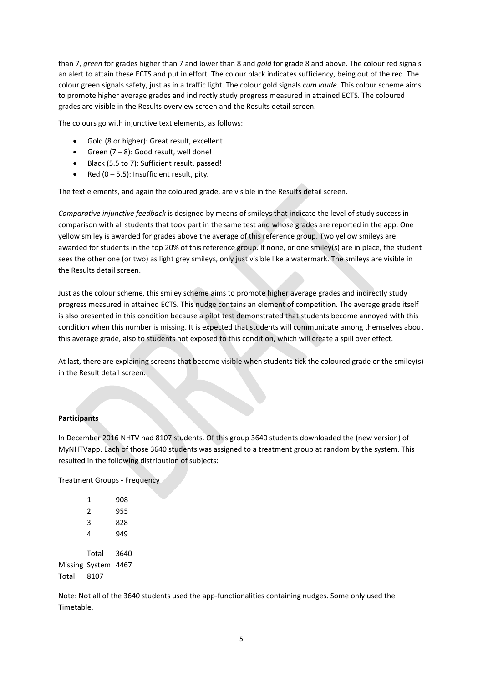than 7, *green* for grades higher than 7 and lower than 8 and *gold* for grade 8 and above. The colour red signals an alert to attain these ECTS and put in effort. The colour black indicates sufficiency, being out of the red. The colour green signals safety, just as in a traffic light. The colour gold signals *cum laude*. This colour scheme aims to promote higher average grades and indirectly study progress measured in attained ECTS. The coloured grades are visible in the Results overview screen and the Results detail screen.

The colours go with injunctive text elements, as follows:

- Gold (8 or higher): Great result, excellent!
- Green (7 8): Good result, well done!
- Black (5.5 to 7): Sufficient result, passed!
- Red (0 5.5): Insufficient result, pity*.*

The text elements, and again the coloured grade, are visible in the Results detail screen.

*Comparative injunctive feedback* is designed by means of smileys that indicate the level of study success in comparison with all students that took part in the same test and whose grades are reported in the app. One yellow smiley is awarded for grades above the average of this reference group. Two yellow smileys are awarded for students in the top 20% of this reference group. If none, or one smiley(s) are in place, the student sees the other one (or two) as light grey smileys, only just visible like a watermark. The smileys are visible in the Results detail screen.

Just as the colour scheme, this smiley scheme aims to promote higher average grades and indirectly study progress measured in attained ECTS. This nudge contains an element of competition. The average grade itself is also presented in this condition because a pilot test demonstrated that students become annoyed with this condition when this number is missing. It is expected that students will communicate among themselves about this average grade, also to students not exposed to this condition, which will create a spill over effect.

At last, there are explaining screens that become visible when students tick the coloured grade or the smiley(s) in the Result detail screen.

#### **Participants**

In December 2016 NHTV had 8107 students. Of this group 3640 students downloaded the (new version) of MyNHTVapp. Each of those 3640 students was assigned to a treatment group at random by the system. This resulted in the following distribution of subjects:

Treatment Groups - Frequency

|       | 1                   | 908  |
|-------|---------------------|------|
|       | $\mathcal{P}$       | 955  |
|       | 3                   | 828  |
|       | 4                   | 949  |
|       |                     |      |
|       | Total               | 3640 |
|       | Missing System 4467 |      |
| Total | 8107                |      |

Note: Not all of the 3640 students used the app-functionalities containing nudges. Some only used the Timetable.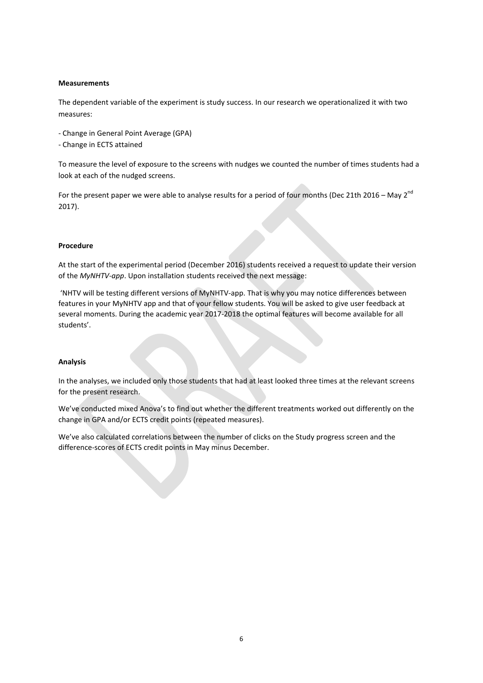## **Measurements**

The dependent variable of the experiment is study success. In our research we operationalized it with two measures:

- Change in General Point Average (GPA)
- Change in ECTS attained

To measure the level of exposure to the screens with nudges we counted the number of times students had a look at each of the nudged screens.

For the present paper we were able to analyse results for a period of four months (Dec 21th 2016 – May 2<sup>nd</sup> 2017).

### **Procedure**

At the start of the experimental period (December 2016) students received a request to update their version of the *MyNHTV-app*. Upon installation students received the next message:

'NHTV will be testing different versions of MyNHTV-app. That is why you may notice differences between features in your MyNHTV app and that of your fellow students. You will be asked to give user feedback at several moments. During the academic year 2017-2018 the optimal features will become available for all students'.

#### **Analysis**

In the analyses, we included only those students that had at least looked three times at the relevant screens for the present research.

We've conducted mixed Anova's to find out whether the different treatments worked out differently on the change in GPA and/or ECTS credit points (repeated measures).

We've also calculated correlations between the number of clicks on the Study progress screen and the difference-scores of ECTS credit points in May minus December.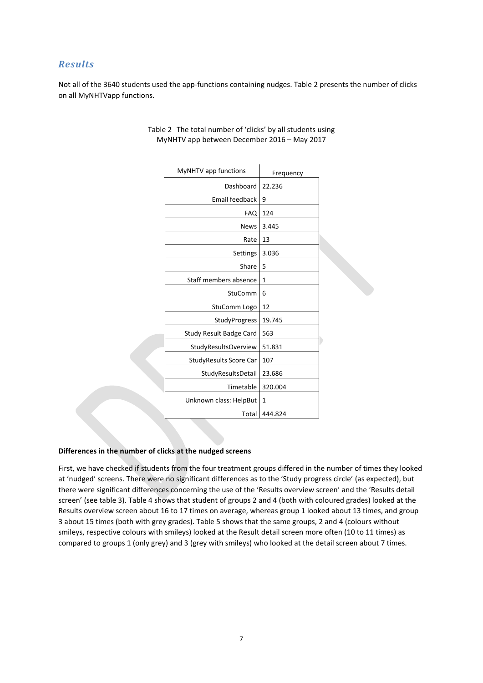## *Results*

Not all of the 3640 students used the app-functions containing nudges. Table 2 presents the number of clicks on all MyNHTVapp functions.

| MyNHTV app functions           | Frequency |  |
|--------------------------------|-----------|--|
| Dashboard                      | 22.236    |  |
| Email feedback                 | 9         |  |
| <b>FAQ</b>                     | 124       |  |
| <b>News</b>                    | 3.445     |  |
| Rate                           | 13        |  |
| Settings                       | 3.036     |  |
| Share                          | 5         |  |
| Staff members absence          | 1         |  |
| StuComm                        | 6         |  |
| StuComm Logo                   | 12        |  |
| StudyProgress                  | 19.745    |  |
| <b>Study Result Badge Card</b> | 563       |  |
| <b>StudyResultsOverview</b>    | 51.831    |  |
| StudyResults Score Car         | 107       |  |
| StudyResultsDetail             | 23.686    |  |
| Timetable                      | 320.004   |  |
| Unknown class: HelpBut         | 1         |  |
| Total                          | 444.824   |  |

## Table 2 The total number of 'clicks' by all students using MyNHTV app between December 2016 – May 2017

 $\mathbf{I}$ 

## **Differences in the number of clicks at the nudged screens**

First, we have checked if students from the four treatment groups differed in the number of times they looked at 'nudged' screens. There were no significant differences as to the 'Study progress circle' (as expected), but there were significant differences concerning the use of the 'Results overview screen' and the 'Results detail screen' (see table 3). Table 4 shows that student of groups 2 and 4 (both with coloured grades) looked at the Results overview screen about 16 to 17 times on average, whereas group 1 looked about 13 times, and group 3 about 15 times (both with grey grades). Table 5 shows that the same groups, 2 and 4 (colours without smileys, respective colours with smileys) looked at the Result detail screen more often (10 to 11 times) as compared to groups 1 (only grey) and 3 (grey with smileys) who looked at the detail screen about 7 times.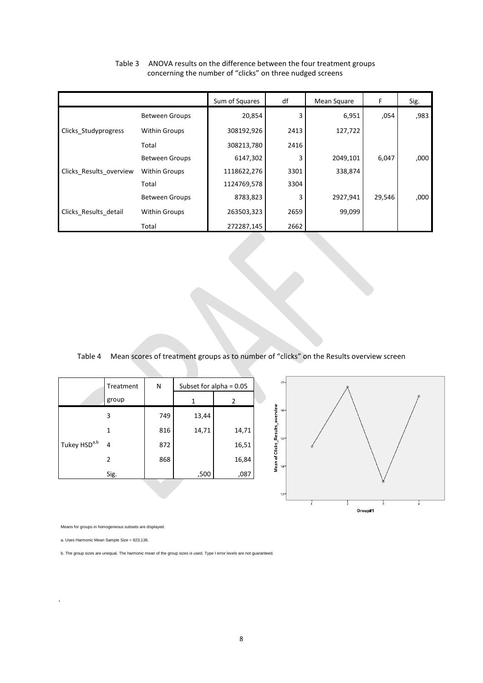|                         |                       | Sum of Squares | df   | Mean Square | F      | Sig. |
|-------------------------|-----------------------|----------------|------|-------------|--------|------|
| Clicks Studyprogress    | <b>Between Groups</b> | 20,854         | 3    | 6,951       | ,054   | ,983 |
|                         | Within Groups         | 308192,926     | 2413 | 127,722     |        |      |
|                         | Total                 | 308213,780     | 2416 |             |        |      |
|                         | <b>Between Groups</b> | 6147,302       | 3    | 2049,101    | 6,047  | ,000 |
| Clicks Results overview | <b>Within Groups</b>  | 1118622,276    | 3301 | 338,874     |        |      |
|                         | Total                 | 1124769,578    | 3304 |             |        |      |
|                         | <b>Between Groups</b> | 8783,823       | 3    | 2927,941    | 29,546 | ,000 |
| Clicks Results detail   | <b>Within Groups</b>  | 263503,323     | 2659 | 99,099      |        |      |
|                         | Total                 | 272287,145     | 2662 |             |        |      |

## Table 3 ANOVA results on the difference between the four treatment groups concerning the number of "clicks" on three nudged screens

# Table 4 Mean scores of treatment groups as to number of "clicks" on the Results overview screen

|                          | Treatment | Ν   |       | Subset for alpha = $0.05$ |
|--------------------------|-----------|-----|-------|---------------------------|
|                          | group     |     | 1     | 2                         |
|                          | 3         | 749 | 13,44 |                           |
|                          | 1         | 816 | 14,71 | 14,71                     |
| Tukey HSD <sup>a,b</sup> | 4         | 872 |       | 16,51                     |
|                          | 2         | 868 |       | 16,84                     |
|                          | Sig.      |     | ,500  | ,087                      |



Means for groups in homogeneous subsets are displayed.

a. Uses Harmonic Mean Sample Size = 823,136.

.

b. The group sizes are unequal. The harmonic mean of the group sizes is used. Type I error levels are not guaranteed.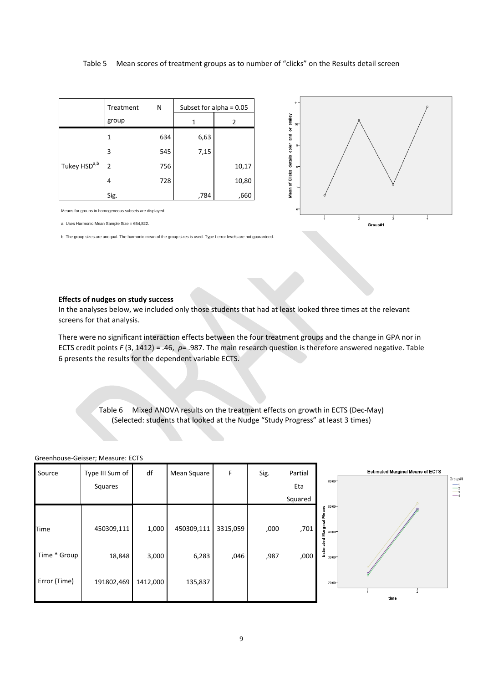#### Table 5 Mean scores of treatment groups as to number of "clicks" on the Results detail screen

|                          | Treatment     | N   | Subset for alpha = $0.05$ |       |
|--------------------------|---------------|-----|---------------------------|-------|
|                          | group         |     | 1                         | 2     |
|                          | 1             | 634 | 6,63                      |       |
|                          | 3             | 545 | 7,15                      |       |
| Tukey HSD <sup>a,b</sup> | $\mathcal{P}$ | 756 |                           | 10,17 |
|                          | 4             | 728 |                           | 10,80 |
|                          | Sig.          |     | ,784                      | ,660  |



Means for groups in homogeneous subsets are displayed.

a. Uses Harmonic Mean Sample Size = 654,822.

b. The group sizes are unequal. The harmonic mean of the group sizes is used. Type I error levels are not guaranteed.

## **Effects of nudges on study success**

In the analyses below, we included only those students that had at least looked three times at the relevant screens for that analysis.

There were no significant interaction effects between the four treatment groups and the change in GPA nor in ECTS credit points *F* (3, 1412) = .46, *p*= .987. The main research question is therefore answered negative. Table 6 presents the results for the dependent variable ECTS.

> Table 6 Mixed ANOVA results on the treatment effects on growth in ECTS (Dec-May) (Selected: students that looked at the Nudge "Study Progress" at least 3 times)

| Source       | Type III Sum of<br>Squares | df       | Mean Square | F        | Sig. | Partial<br>Eta | 60,00                                                                                                                 | <b>Estimated Marginal Means of ECTS</b><br>Group#<br>$\overline{\phantom{a}}$<br>$\overline{\phantom{a}}$<br>$-3$<br>$\overline{\phantom{a}}$ |
|--------------|----------------------------|----------|-------------|----------|------|----------------|-----------------------------------------------------------------------------------------------------------------------|-----------------------------------------------------------------------------------------------------------------------------------------------|
|              |                            |          |             |          |      | Squared        | $50,00 -$                                                                                                             |                                                                                                                                               |
| Time         | 450309,111                 | 1,000    | 450309,111  | 3315,059 | ,000 | ,701           | Marginal Means<br>40,00<br>$\bf \sigma$                                                                               |                                                                                                                                               |
| Time * Group | 18,848                     | 3,000    | 6,283       | ,046     | ,987 | ,000           | $\begin{array}{l}\text{Estimate} \\\text{\tiny 30} \\\text{\tiny 41} \\\text{\tiny 52} \\\text{\tiny -1} \end{array}$ |                                                                                                                                               |
| Error (Time) | 191802,469                 | 1412,000 | 135,837     |          |      |                | $20,00 -$                                                                                                             | time                                                                                                                                          |

#### Greenhouse-Geisser; Measure: ECTS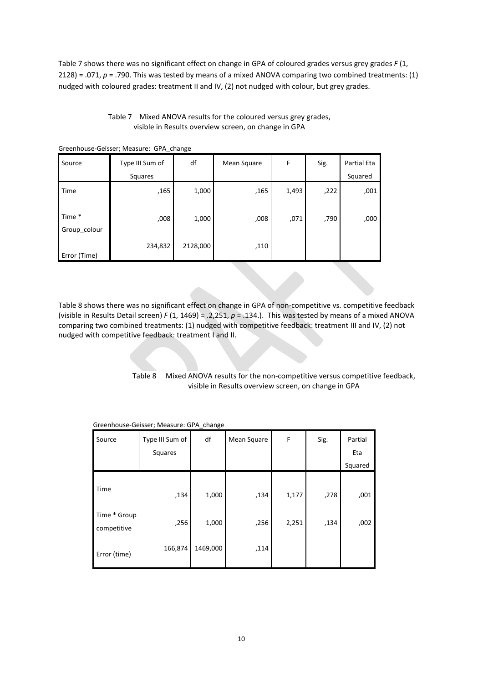Table 7 shows there was no significant effect on change in GPA of coloured grades versus grey grades *F* (1, 2128) = .071, *p* = .790. This was tested by means of a mixed ANOVA comparing two combined treatments: (1) nudged with coloured grades: treatment II and IV, (2) not nudged with colour, but grey grades.

| Table 7 Mixed ANOVA results for the coloured versus grey grades, |
|------------------------------------------------------------------|
| visible in Results overview screen, on change in GPA             |

| Source                 | Type III Sum of<br>Squares | df       | Mean Square | F     | Sig. | Partial Eta<br>Squared |
|------------------------|----------------------------|----------|-------------|-------|------|------------------------|
| Time                   | ,165                       | 1,000    | ,165        | 1,493 | ,222 | ,001                   |
| Time *<br>Group_colour | ,008                       | 1,000    | ,008        | ,071  | ,790 | ,000                   |
| Error (Time)           | 234,832                    | 2128,000 | ,110        |       |      |                        |

Greenhouse-Geisser; Measure: GPA\_change

Table 8 shows there was no significant effect on change in GPA of non-competitive vs. competitive feedback (visible in Results Detail screen) *F* (1, 1469) = .2,251, *p* = .134.). This was tested by means of a mixed ANOVA comparing two combined treatments: (1) nudged with competitive feedback: treatment III and IV, (2) not nudged with competitive feedback: treatment I and II.

## Table 8 Mixed ANOVA results for the non-competitive versus competitive feedback, visible in Results overview screen, on change in GPA

| Greenhouse-Geisser, ivieasure. GFA change |                 |          |             |       |      |         |  |  |  |
|-------------------------------------------|-----------------|----------|-------------|-------|------|---------|--|--|--|
| Source                                    | Type III Sum of | df       | Mean Square | F     | Sig. | Partial |  |  |  |
|                                           | Squares         |          |             |       |      | Eta     |  |  |  |
|                                           |                 |          |             |       |      | Squared |  |  |  |
|                                           |                 |          |             |       |      |         |  |  |  |
| Time                                      | ,134            | 1,000    | ,134        | 1,177 | ,278 | ,001    |  |  |  |
| Time * Group<br>competitive               | ,256            | 1,000    | ,256        | 2,251 | ,134 | ,002    |  |  |  |
| Error (time)                              | 166,874         | 1469,000 | ,114        |       |      |         |  |  |  |

Greenhouse-Geisser; Measure: GPA\_change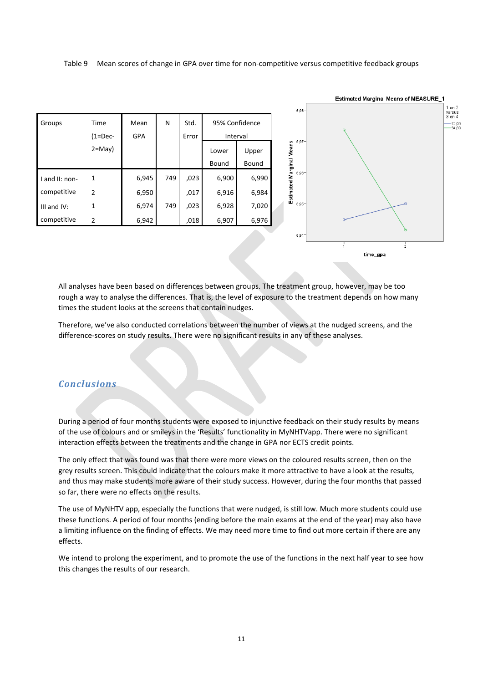Table 9 Mean scores of change in GPA over time for non-competitive versus competitive feedback groups



All analyses have been based on differences between groups. The treatment group, however, may be too rough a way to analyse the differences. That is, the level of exposure to the treatment depends on how many times the student looks at the screens that contain nudges.

Therefore, we've also conducted correlations between the number of views at the nudged screens, and the difference-scores on study results. There were no significant results in any of these analyses.

## *Conclusions*

During a period of four months students were exposed to injunctive feedback on their study results by means of the use of colours and or smileys in the 'Results' functionality in MyNHTVapp. There were no significant interaction effects between the treatments and the change in GPA nor ECTS credit points.

The only effect that was found was that there were more views on the coloured results screen, then on the grey results screen. This could indicate that the colours make it more attractive to have a look at the results, and thus may make students more aware of their study success. However, during the four months that passed so far, there were no effects on the results.

The use of MyNHTV app, especially the functions that were nudged, is still low. Much more students could use these functions. A period of four months (ending before the main exams at the end of the year) may also have a limiting influence on the finding of effects. We may need more time to find out more certain if there are any effects.

We intend to prolong the experiment, and to promote the use of the functions in the next half year to see how this changes the results of our research.